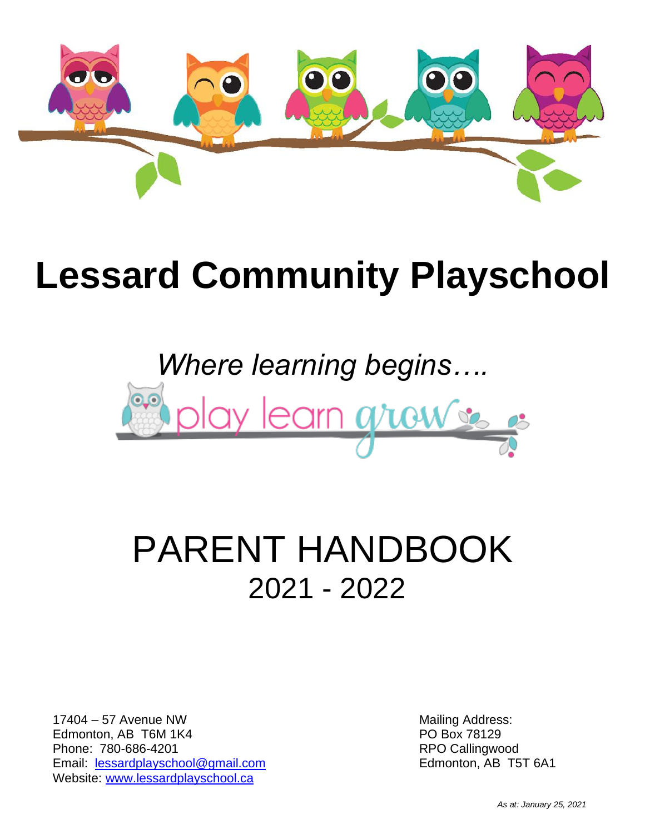

# **Lessard Community Playschool**

# *Where learning begins….* ay learn graw

## PARENT HANDBOOK 2021 - 2022

17404 – 57 Avenue NW Edmonton, AB T6M 1K4 Phone: 780-686-4201 Email: [lessardplayschool@gmail.com](mailto:lessardplayschool@gmail.com) Website: [www.lessardplayschool.ca](file:///G:/My%20Documents/Lessard%20Playschool/Lessard%20Playschool%20Child%20Care%20Assistant/Registraton/2021-2022/www.lessardplayschool.ca)

Mailing Address: PO Box 78129 RPO Callingwood Edmonton, AB T5T 6A1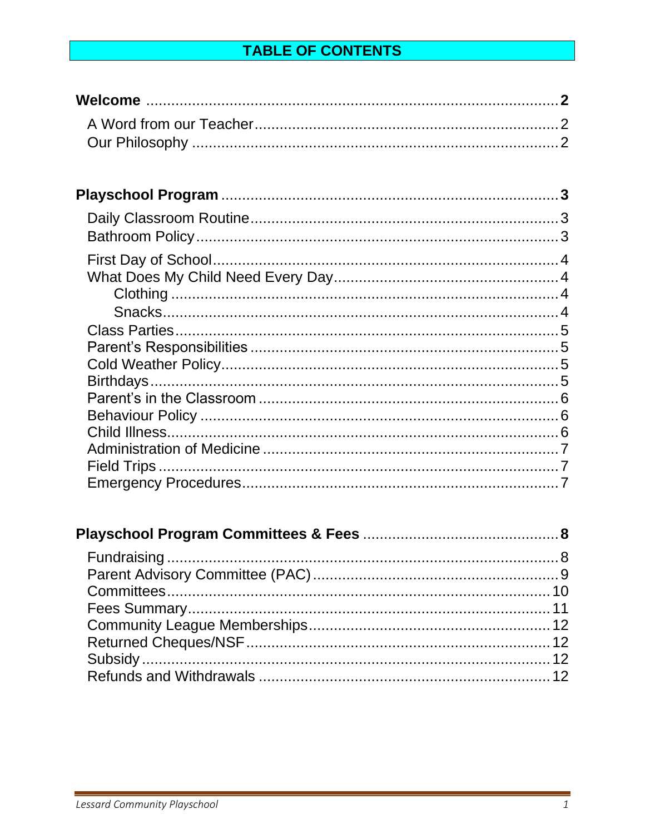#### **TABLE OF CONTENTS**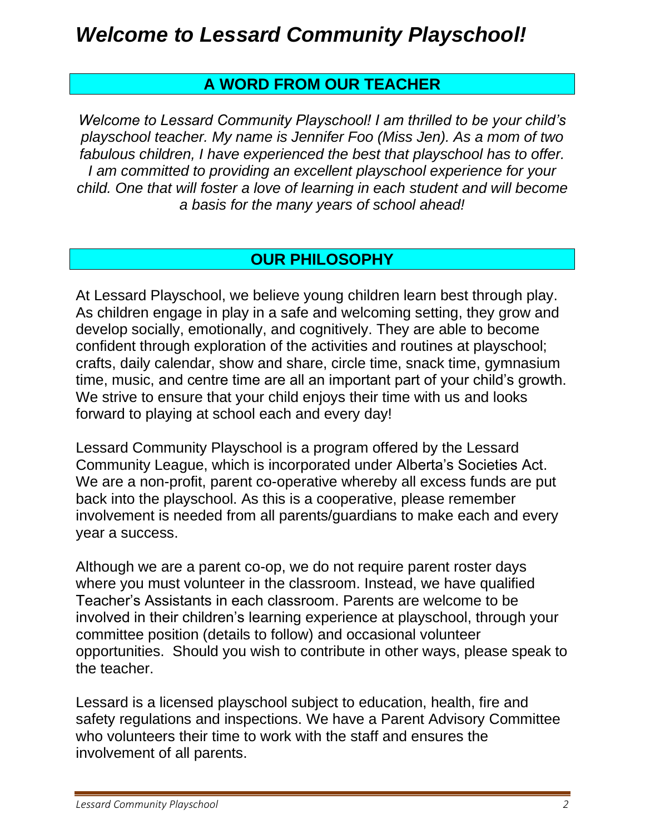#### **A WORD FROM OUR TEACHER**

*Welcome to Lessard Community Playschool! I am thrilled to be your child's playschool teacher. My name is Jennifer Foo (Miss Jen). As a mom of two fabulous children, I have experienced the best that playschool has to offer. I am committed to providing an excellent playschool experience for your child. One that will foster a love of learning in each student and will become a basis for the many years of school ahead!*

#### **OUR PHILOSOPHY**

At Lessard Playschool, we believe young children learn best through play. As children engage in play in a safe and welcoming setting, they grow and develop socially, emotionally, and cognitively. They are able to become confident through exploration of the activities and routines at playschool; crafts, daily calendar, show and share, circle time, snack time, gymnasium time, music, and centre time are all an important part of your child's growth. We strive to ensure that your child enjoys their time with us and looks forward to playing at school each and every day!

Lessard Community Playschool is a program offered by the Lessard Community League, which is incorporated under Alberta's Societies Act. We are a non-profit, parent co-operative whereby all excess funds are put back into the playschool. As this is a cooperative, please remember involvement is needed from all parents/guardians to make each and every year a success.

Although we are a parent co-op, we do not require parent roster days where you must volunteer in the classroom. Instead, we have qualified Teacher's Assistants in each classroom. Parents are welcome to be involved in their children's learning experience at playschool, through your committee position (details to follow) and occasional volunteer opportunities. Should you wish to contribute in other ways, please speak to the teacher.

Lessard is a licensed playschool subject to education, health, fire and safety regulations and inspections. We have a Parent Advisory Committee who volunteers their time to work with the staff and ensures the involvement of all parents.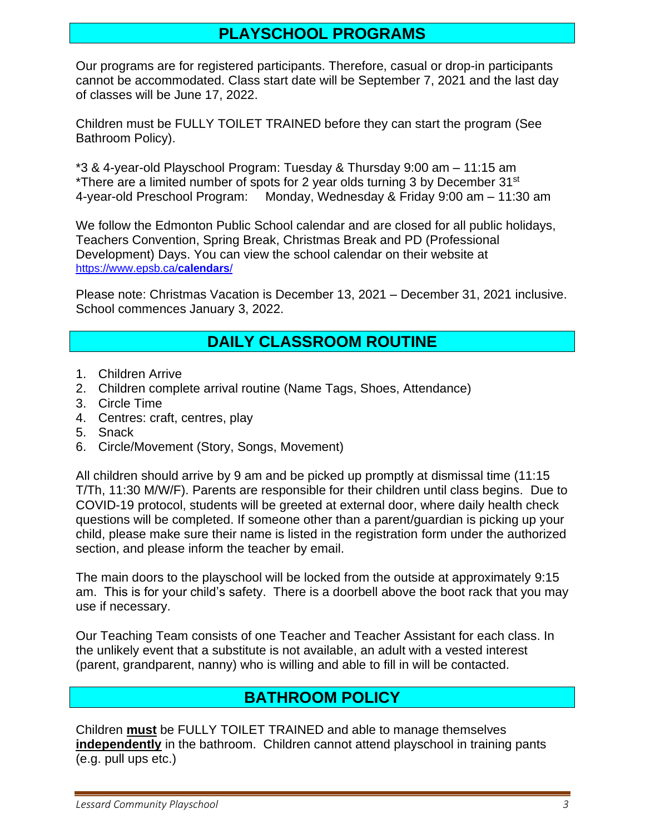#### **PLAYSCHOOL PROGRAMS**

Our programs are for registered participants. Therefore, casual or drop-in participants cannot be accommodated. Class start date will be September 7, 2021 and the last day of classes will be June 17, 2022.

Children must be FULLY TOILET TRAINED before they can start the program (See Bathroom Policy).

\*3 & 4-year-old Playschool Program: Tuesday & Thursday 9:00 am – 11:15 am \*There are a limited number of spots for 2 year olds turning 3 by December 31<sup>st</sup> 4-year-old Preschool Program: Monday, Wednesday & Friday 9:00 am – 11:30 am

We follow the Edmonton Public School calendar and are closed for all public holidays, Teachers Convention, Spring Break, Christmas Break and PD (Professional Development) Days. You can view the school calendar on their website at [https://www.epsb.ca/](https://www.epsb.ca/calendars/)**calendars**/

Please note: Christmas Vacation is December 13, 2021 – December 31, 2021 inclusive. School commences January 3, 2022.

#### **DAILY CLASSROOM ROUTINE**

- 1. Children Arrive
- 2. Children complete arrival routine (Name Tags, Shoes, Attendance)
- 3. Circle Time
- 4. Centres: craft, centres, play
- 5. Snack
- 6. Circle/Movement (Story, Songs, Movement)

All children should arrive by 9 am and be picked up promptly at dismissal time (11:15 T/Th, 11:30 M/W/F). Parents are responsible for their children until class begins. Due to COVID-19 protocol, students will be greeted at external door, where daily health check questions will be completed. If someone other than a parent/guardian is picking up your child, please make sure their name is listed in the registration form under the authorized section, and please inform the teacher by email.

The main doors to the playschool will be locked from the outside at approximately 9:15 am. This is for your child's safety. There is a doorbell above the boot rack that you may use if necessary.

Our Teaching Team consists of one Teacher and Teacher Assistant for each class. In the unlikely event that a substitute is not available, an adult with a vested interest (parent, grandparent, nanny) who is willing and able to fill in will be contacted.

#### **BATHROOM POLICY**

Children **must** be FULLY TOILET TRAINED and able to manage themselves **independently** in the bathroom. Children cannot attend playschool in training pants (e.g. pull ups etc.)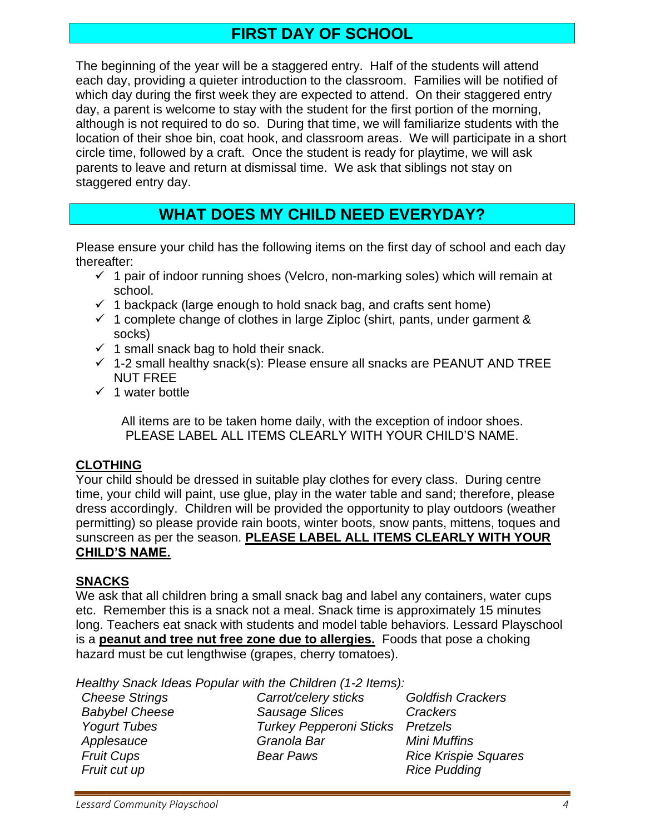#### **FIRST DAY OF SCHOOL**

The beginning of the year will be a staggered entry. Half of the students will attend each day, providing a quieter introduction to the classroom. Families will be notified of which day during the first week they are expected to attend. On their staggered entry day, a parent is welcome to stay with the student for the first portion of the morning, although is not required to do so. During that time, we will familiarize students with the location of their shoe bin, coat hook, and classroom areas. We will participate in a short circle time, followed by a craft. Once the student is ready for playtime, we will ask parents to leave and return at dismissal time. We ask that siblings not stay on staggered entry day.

#### **WHAT DOES MY CHILD NEED EVERYDAY?**

Please ensure your child has the following items on the first day of school and each day thereafter:

- $\checkmark$  1 pair of indoor running shoes (Velcro, non-marking soles) which will remain at school.
- $\checkmark$  1 backpack (large enough to hold snack bag, and crafts sent home)
- $\checkmark$  1 complete change of clothes in large Ziploc (shirt, pants, under garment & socks)
- $\checkmark$  1 small snack bag to hold their snack.
- $\checkmark$  1-2 small healthy snack(s): Please ensure all snacks are PEANUT AND TREE NUT FREE
- $\checkmark$  1 water bottle

All items are to be taken home daily, with the exception of indoor shoes. PLEASE LABEL ALL ITEMS CLEARLY WITH YOUR CHILD'S NAME.

#### **CLOTHING**

Your child should be dressed in suitable play clothes for every class. During centre time, your child will paint, use glue, play in the water table and sand; therefore, please dress accordingly. Children will be provided the opportunity to play outdoors (weather permitting) so please provide rain boots, winter boots, snow pants, mittens, toques and sunscreen as per the season. **PLEASE LABEL ALL ITEMS CLEARLY WITH YOUR CHILD'S NAME.**

#### **SNACKS**

We ask that all children bring a small snack bag and label any containers, water cups etc. Remember this is a snack not a meal. Snack time is approximately 15 minutes long. Teachers eat snack with students and model table behaviors. Lessard Playschool is a **peanut and tree nut free zone due to allergies.** Foods that pose a choking hazard must be cut lengthwise (grapes, cherry tomatoes).

*Healthy Snack Ideas Popular with the Children (1-2 Items):*

*Cheese Strings Carrot/celery sticks Goldfish Crackers Babybel Cheese Sausage Slices Crackers Yogurt Tubes Turkey Pepperoni Sticks Pretzels Applesauce Granola Bar Mini Muffins Fruit Cups Bear Paws Rice Krispie Squares Fruit cut up Rice Pudding*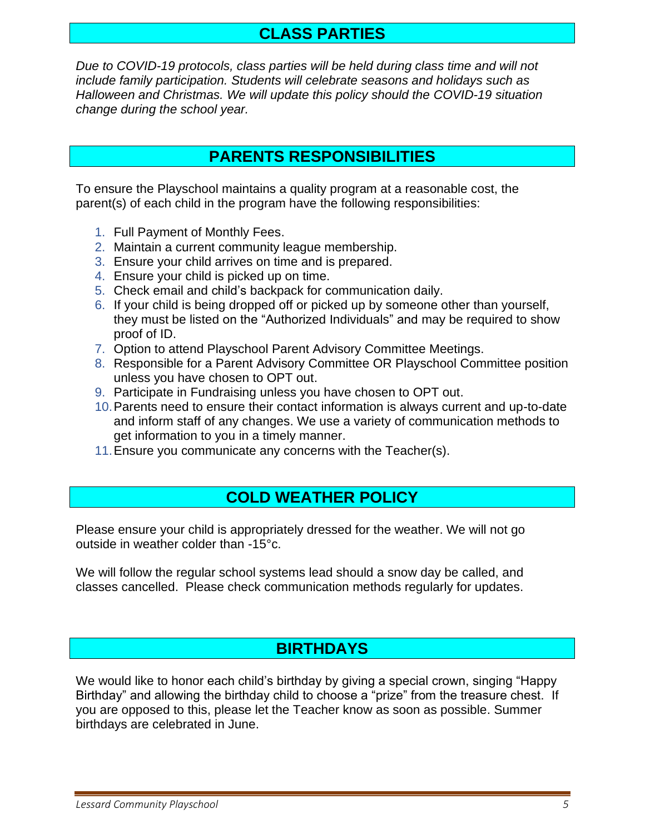#### **CLASS PARTIES**

*Due to COVID-19 protocols, class parties will be held during class time and will not include family participation. Students will celebrate seasons and holidays such as Halloween and Christmas. We will update this policy should the COVID-19 situation change during the school year.* 

#### **PARENTS RESPONSIBILITIES**

To ensure the Playschool maintains a quality program at a reasonable cost, the parent(s) of each child in the program have the following responsibilities:

- 1. Full Payment of Monthly Fees.
- 2. Maintain a current community league membership.
- 3. Ensure your child arrives on time and is prepared.
- 4. Ensure your child is picked up on time.
- 5. Check email and child's backpack for communication daily.
- 6. If your child is being dropped off or picked up by someone other than yourself, they must be listed on the "Authorized Individuals" and may be required to show proof of ID.
- 7. Option to attend Playschool Parent Advisory Committee Meetings.
- 8. Responsible for a Parent Advisory Committee OR Playschool Committee position unless you have chosen to OPT out.
- 9. Participate in Fundraising unless you have chosen to OPT out.
- 10.Parents need to ensure their contact information is always current and up-to-date and inform staff of any changes. We use a variety of communication methods to get information to you in a timely manner.
- 11.Ensure you communicate any concerns with the Teacher(s).

#### **COLD WEATHER POLICY**

Please ensure your child is appropriately dressed for the weather. We will not go outside in weather colder than -15°c.

We will follow the regular school systems lead should a snow day be called, and classes cancelled. Please check communication methods regularly for updates.

#### **BIRTHDAYS**

We would like to honor each child's birthday by giving a special crown, singing "Happy Birthday" and allowing the birthday child to choose a "prize" from the treasure chest. If you are opposed to this, please let the Teacher know as soon as possible. Summer birthdays are celebrated in June.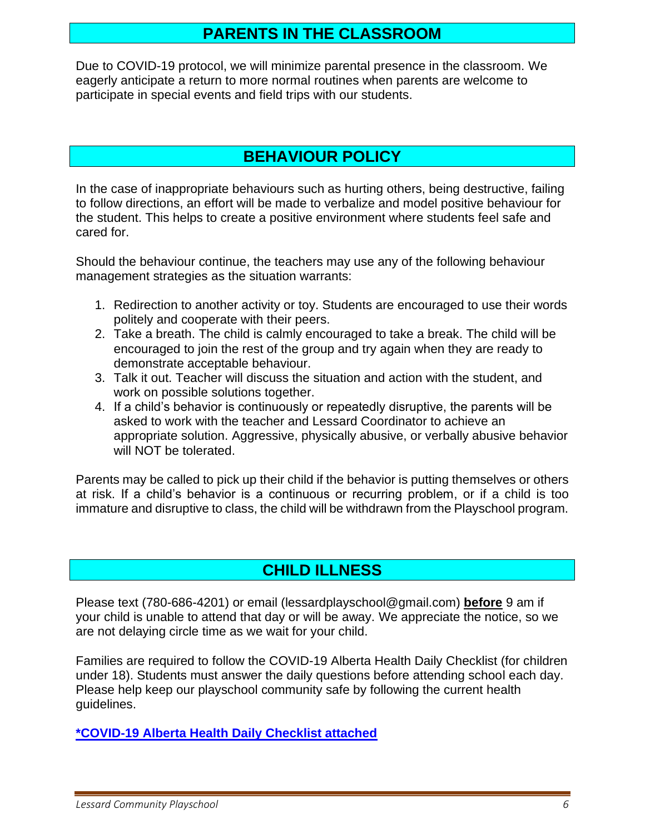#### **PARENTS IN THE CLASSROOM**

Due to COVID-19 protocol, we will minimize parental presence in the classroom. We eagerly anticipate a return to more normal routines when parents are welcome to participate in special events and field trips with our students.

#### **BEHAVIOUR POLICY**

In the case of inappropriate behaviours such as hurting others, being destructive, failing to follow directions, an effort will be made to verbalize and model positive behaviour for the student. This helps to create a positive environment where students feel safe and cared for.

Should the behaviour continue, the teachers may use any of the following behaviour management strategies as the situation warrants:

- 1. Redirection to another activity or toy. Students are encouraged to use their words politely and cooperate with their peers.
- 2. Take a breath. The child is calmly encouraged to take a break. The child will be encouraged to join the rest of the group and try again when they are ready to demonstrate acceptable behaviour.
- 3. Talk it out. Teacher will discuss the situation and action with the student, and work on possible solutions together.
- 4. If a child's behavior is continuously or repeatedly disruptive, the parents will be asked to work with the teacher and Lessard Coordinator to achieve an appropriate solution. Aggressive, physically abusive, or verbally abusive behavior will NOT be tolerated.

Parents may be called to pick up their child if the behavior is putting themselves or others at risk. If a child's behavior is a continuous or recurring problem, or if a child is too immature and disruptive to class, the child will be withdrawn from the Playschool program.

#### **CHILD ILLNESS**

Please text (780-686-4201) or email (lessardplayschool@gmail.com) **before** 9 am if your child is unable to attend that day or will be away. We appreciate the notice, so we are not delaying circle time as we wait for your child.

Families are required to follow the COVID-19 Alberta Health Daily Checklist (for children under 18). Students must answer the daily questions before attending school each day. Please help keep our playschool community safe by following the current health guidelines.

**\*COVID-19 [Alberta Health Daily Checklist attached](file:///G:/My%20Documents/Lessard%20Playschool/Lessard%20Playschool%20Child%20Care%20Assistant/Registraton/2021-2022/Final%20Documents%20Approved/Covid%20Screening%20Checklist%20Under%2018%20as%20at%20Dec%2020.pdf)**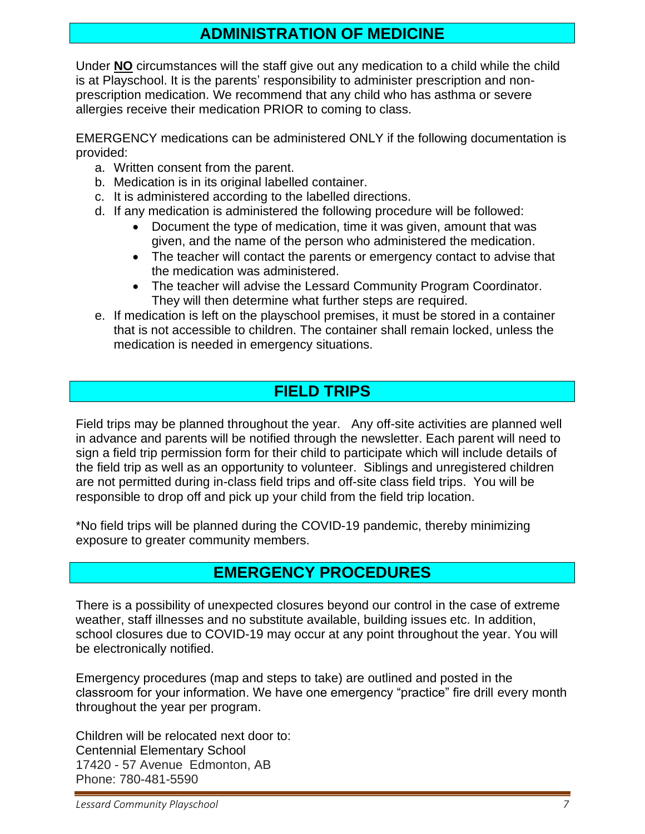#### **ADMINISTRATION OF MEDICINE**

Under **NO** circumstances will the staff give out any medication to a child while the child is at Playschool. It is the parents' responsibility to administer prescription and nonprescription medication. We recommend that any child who has asthma or severe allergies receive their medication PRIOR to coming to class.

EMERGENCY medications can be administered ONLY if the following documentation is provided:

- a. Written consent from the parent.
- b. Medication is in its original labelled container.
- c. It is administered according to the labelled directions.
- d. If any medication is administered the following procedure will be followed:
	- Document the type of medication, time it was given, amount that was given, and the name of the person who administered the medication.
	- The teacher will contact the parents or emergency contact to advise that the medication was administered.
	- The teacher will advise the Lessard Community Program Coordinator. They will then determine what further steps are required.
- e. If medication is left on the playschool premises, it must be stored in a container that is not accessible to children. The container shall remain locked, unless the medication is needed in emergency situations.

#### **FIELD TRIPS**

Field trips may be planned throughout the year. Any off-site activities are planned well in advance and parents will be notified through the newsletter. Each parent will need to sign a field trip permission form for their child to participate which will include details of the field trip as well as an opportunity to volunteer. Siblings and unregistered children are not permitted during in-class field trips and off-site class field trips. You will be responsible to drop off and pick up your child from the field trip location.

\*No field trips will be planned during the COVID-19 pandemic, thereby minimizing exposure to greater community members.

#### **EMERGENCY PROCEDURES**

There is a possibility of unexpected closures beyond our control in the case of extreme weather, staff illnesses and no substitute available, building issues etc. In addition, school closures due to COVID-19 may occur at any point throughout the year. You will be electronically notified.

Emergency procedures (map and steps to take) are outlined and posted in the classroom for your information. We have one emergency "practice" fire drill every month throughout the year per program.

Children will be relocated next door to: Centennial Elementary School 17420 - 57 Avenue Edmonton, AB Phone: 780-481-5590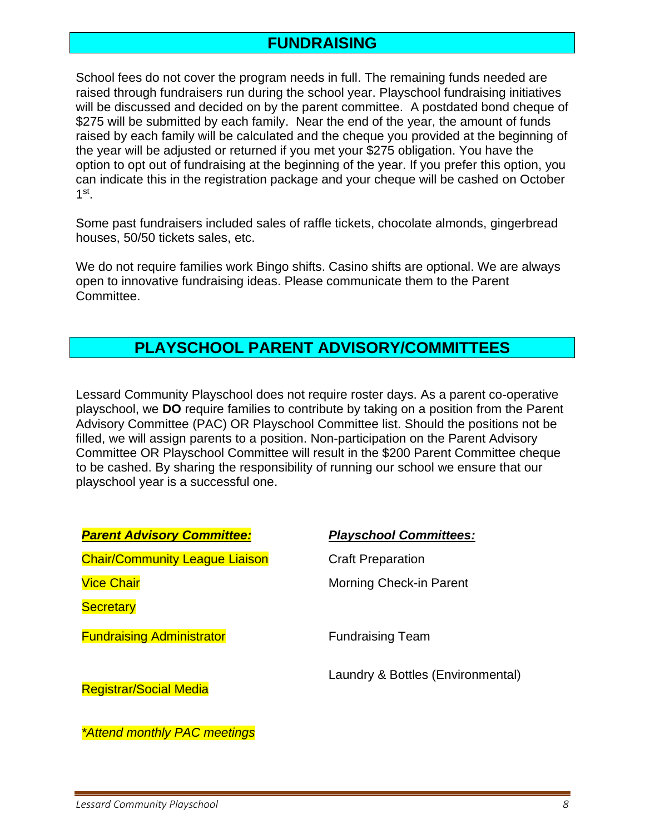#### **FUNDRAISING**

School fees do not cover the program needs in full. The remaining funds needed are raised through fundraisers run during the school year. Playschool fundraising initiatives will be discussed and decided on by the parent committee. A postdated bond cheque of \$275 will be submitted by each family. Near the end of the year, the amount of funds raised by each family will be calculated and the cheque you provided at the beginning of the year will be adjusted or returned if you met your \$275 obligation. You have the option to opt out of fundraising at the beginning of the year. If you prefer this option, you can indicate this in the registration package and your cheque will be cashed on October  $1^{\text{st}}$ .

Some past fundraisers included sales of raffle tickets, chocolate almonds, gingerbread houses, 50/50 tickets sales, etc.

We do not require families work Bingo shifts. Casino shifts are optional. We are always open to innovative fundraising ideas. Please communicate them to the Parent Committee.

#### **PLAYSCHOOL PARENT ADVISORY/COMMITTEES**

Lessard Community Playschool does not require roster days. As a parent co-operative playschool, we **DO** require families to contribute by taking on a position from the Parent Advisory Committee (PAC) OR Playschool Committee list. Should the positions not be filled, we will assign parents to a position. Non-participation on the Parent Advisory Committee OR Playschool Committee will result in the \$200 Parent Committee cheque to be cashed. By sharing the responsibility of running our school we ensure that our playschool year is a successful one.

| <b>Parent Advisory Committee:</b>     | <b>Playschool Committees:</b>     |
|---------------------------------------|-----------------------------------|
| <b>Chair/Community League Liaison</b> | <b>Craft Preparation</b>          |
| <b>Vice Chair</b>                     | <b>Morning Check-in Parent</b>    |
| <b>Secretary</b>                      |                                   |
| <b>Fundraising Administrator</b>      | <b>Fundraising Team</b>           |
| <b>Registrar/Social Media</b>         | Laundry & Bottles (Environmental) |
|                                       |                                   |

*\*Attend monthly PAC meetings*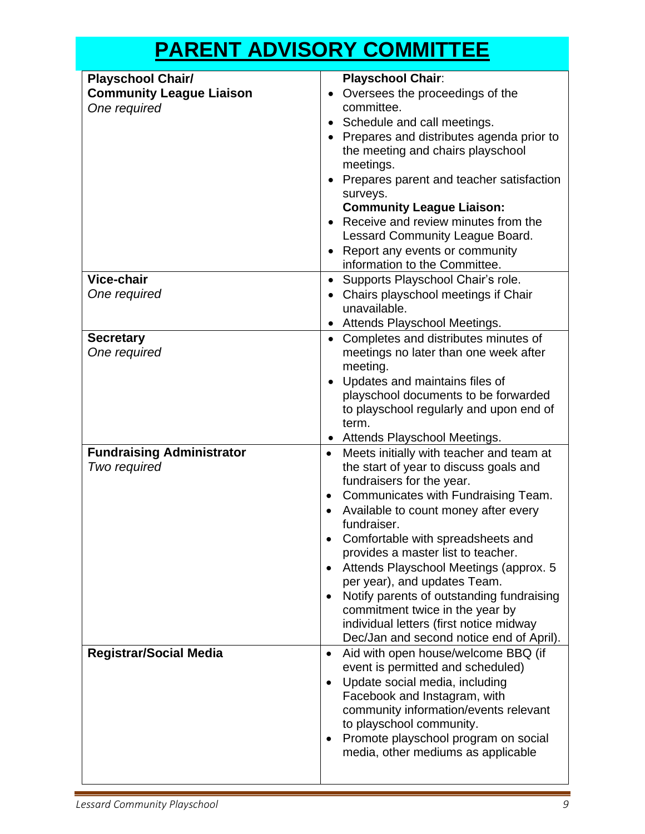### **PARENT ADVISORY COMMITTEE**

| <b>Playschool Chair/</b>         | <b>Playschool Chair:</b>                                                   |
|----------------------------------|----------------------------------------------------------------------------|
| <b>Community League Liaison</b>  | Oversees the proceedings of the                                            |
| One required                     | committee.                                                                 |
|                                  | • Schedule and call meetings.                                              |
|                                  | • Prepares and distributes agenda prior to                                 |
|                                  | the meeting and chairs playschool                                          |
|                                  | meetings.                                                                  |
|                                  | Prepares parent and teacher satisfaction                                   |
|                                  | surveys.<br><b>Community League Liaison:</b>                               |
|                                  | Receive and review minutes from the                                        |
|                                  | Lessard Community League Board.                                            |
|                                  | • Report any events or community                                           |
|                                  | information to the Committee.                                              |
| Vice-chair                       | Supports Playschool Chair's role.<br>$\bullet$                             |
| One required                     | • Chairs playschool meetings if Chair                                      |
|                                  | unavailable.                                                               |
|                                  | Attends Playschool Meetings.                                               |
| <b>Secretary</b>                 | Completes and distributes minutes of<br>$\bullet$                          |
| One required                     | meetings no later than one week after                                      |
|                                  | meeting.                                                                   |
|                                  | Updates and maintains files of                                             |
|                                  | playschool documents to be forwarded                                       |
|                                  | to playschool regularly and upon end of                                    |
|                                  | term.<br>Attends Playschool Meetings.<br>$\bullet$                         |
| <b>Fundraising Administrator</b> | Meets initially with teacher and team at<br>$\bullet$                      |
| Two required                     | the start of year to discuss goals and                                     |
|                                  | fundraisers for the year.                                                  |
|                                  | Communicates with Fundraising Team.<br>$\bullet$                           |
|                                  | Available to count money after every                                       |
|                                  | fundraiser.                                                                |
|                                  | Comfortable with spreadsheets and                                          |
|                                  | provides a master list to teacher.                                         |
|                                  | Attends Playschool Meetings (approx. 5                                     |
|                                  | per year), and updates Team.                                               |
|                                  | Notify parents of outstanding fundraising                                  |
|                                  | commitment twice in the year by<br>individual letters (first notice midway |
|                                  | Dec/Jan and second notice end of April).                                   |
| <b>Registrar/Social Media</b>    | Aid with open house/welcome BBQ (if<br>$\bullet$                           |
|                                  | event is permitted and scheduled)                                          |
|                                  | Update social media, including<br>$\bullet$                                |
|                                  | Facebook and Instagram, with                                               |
|                                  | community information/events relevant                                      |
|                                  | to playschool community.                                                   |
|                                  | Promote playschool program on social                                       |
|                                  | media, other mediums as applicable                                         |
|                                  |                                                                            |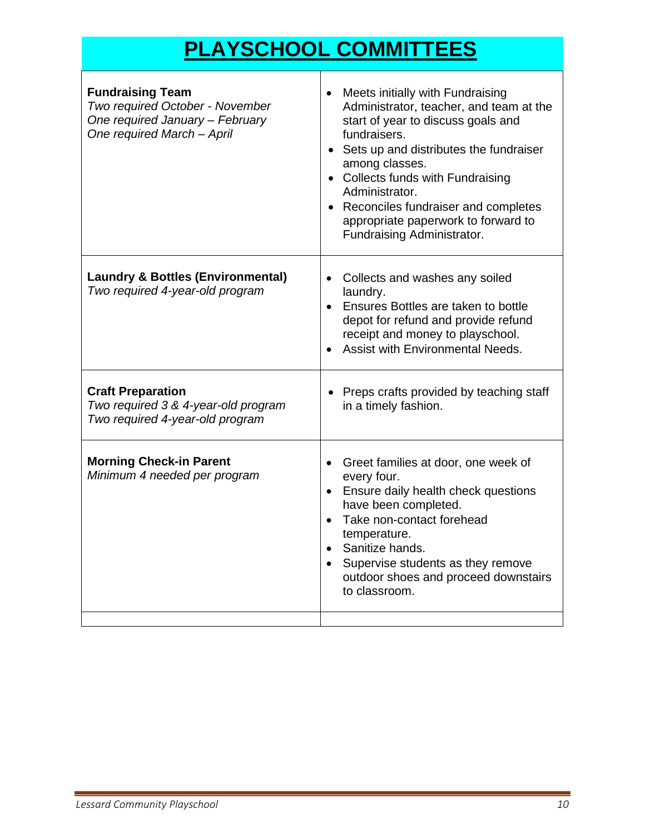## **PLAYSCHOOL COMMITTEES**

| <b>Fundraising Team</b><br>Two required October - November<br>One required January - February<br>One required March - April | Meets initially with Fundraising<br>$\bullet$<br>Administrator, teacher, and team at the<br>start of year to discuss goals and<br>fundraisers.<br>• Sets up and distributes the fundraiser<br>among classes.<br>• Collects funds with Fundraising<br>Administrator.<br>• Reconciles fundraiser and completes<br>appropriate paperwork to forward to<br>Fundraising Administrator. |
|-----------------------------------------------------------------------------------------------------------------------------|-----------------------------------------------------------------------------------------------------------------------------------------------------------------------------------------------------------------------------------------------------------------------------------------------------------------------------------------------------------------------------------|
| <b>Laundry &amp; Bottles (Environmental)</b><br>Two required 4-year-old program                                             | • Collects and washes any soiled<br>laundry.<br>Ensures Bottles are taken to bottle<br>$\bullet$<br>depot for refund and provide refund<br>receipt and money to playschool.<br>Assist with Environmental Needs.                                                                                                                                                                   |
| <b>Craft Preparation</b><br>Two required 3 & 4-year-old program<br>Two required 4-year-old program                          | Preps crafts provided by teaching staff<br>in a timely fashion.                                                                                                                                                                                                                                                                                                                   |
| <b>Morning Check-in Parent</b><br>Minimum 4 needed per program                                                              | Greet families at door, one week of<br>$\bullet$<br>every four.<br>• Ensure daily health check questions<br>have been completed.<br>Take non-contact forehead<br>$\bullet$<br>temperature.<br>• Sanitize hands.<br>Supervise students as they remove<br>$\bullet$<br>outdoor shoes and proceed downstairs<br>to classroom.                                                        |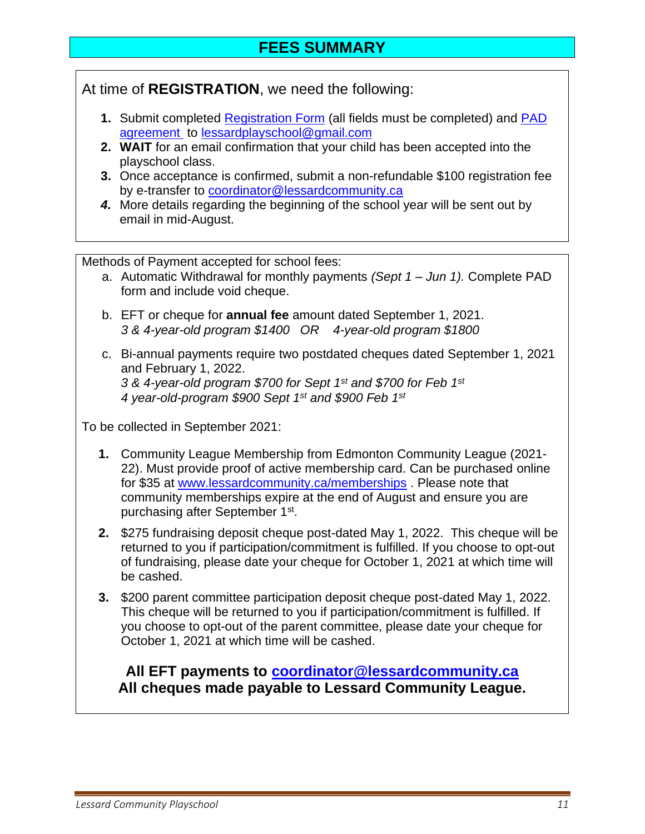At time of **REGISTRATION**, we need the following:

- **1.** Submit completed [Registration Form](https://lessardplayschool.ca/wp-content/uploads/sites/45/2021/01/Registration-Form-2021-2022-Editable.pdf) (all fields must be completed) and [PAD](https://lessardplayschool.ca/wp-content/uploads/sites/45/2021/06/Pre-authorized-Debit-Form-PAD-2021-2022.pdf)  [agreement](https://lessardplayschool.ca/wp-content/uploads/sites/45/2021/06/Pre-authorized-Debit-Form-PAD-2021-2022.pdf) to [lessardplayschool@gmail.com](mailto:lessardplayschool@gmail.com)
- **2. WAIT** for an email confirmation that your child has been accepted into the playschool class.
- **3.** Once acceptance is confirmed, submit a non-refundable \$100 registration fee by e-transfer to [coordinator@lessardcommunity.ca](mailto:coordinator@lessardcommunity.ca)
- *4.* More details regarding the beginning of the school year will be sent out by email in mid-August.

Methods of Payment accepted for school fees:

- a. Automatic Withdrawal for monthly payments *(Sept 1 – Jun 1).* Complete PAD form and include void cheque.
- b. EFT or cheque for **annual fee** amount dated September 1, 2021. *3 & 4-year-old program \$1400 OR 4-year-old program \$1800*
- c. Bi-annual payments require two postdated cheques dated September 1, 2021 and February 1, 2022. *3 & 4-year-old program \$700 for Sept 1st and \$700 for Feb 1st*

*4 year-old-program \$900 Sept 1st and \$900 Feb 1st*

To be collected in September 2021:

- **1.** Community League Membership from Edmonton Community League (2021- 22). Must provide proof of active membership card. Can be purchased online for \$35 at [www.lessardcommunity.ca/memberships](http://www.lessardcommunity.ca/memberships) . Please note that community memberships expire at the end of August and ensure you are purchasing after September 1<sup>st</sup>.
- **2.** \$275 fundraising deposit cheque post-dated May 1, 2022. This cheque will be returned to you if participation/commitment is fulfilled. If you choose to opt-out of fundraising, please date your cheque for October 1, 2021 at which time will be cashed.
- **3.** \$200 parent committee participation deposit cheque post-dated May 1, 2022. This cheque will be returned to you if participation/commitment is fulfilled. If you choose to opt-out of the parent committee, please date your cheque for October 1, 2021 at which time will be cashed.

**All EFT payments to [coordinator@lessardcommunity.ca](mailto:coordinator@lessardcommunity.ca) All cheques made payable to Lessard Community League.**